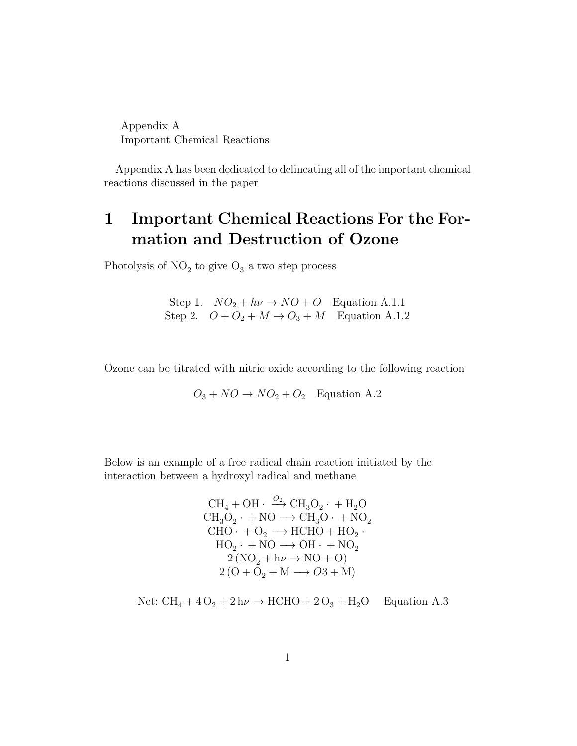Appendix A Important Chemical Reactions

Appendix A has been dedicated to delineating all of the important chemical reactions discussed in the paper

# 1 Important Chemical Reactions For the Formation and Destruction of Ozone

Photolysis of  $NO<sub>2</sub>$  to give  $O<sub>3</sub>$  a two step process

Step 1.  $NO_2 + h\nu \rightarrow NO + O$  Equation A.1.1 Step 2.  $O + O_2 + M \rightarrow O_3 + M$  Equation A.1.2

Ozone can be titrated with nitric oxide according to the following reaction

$$
O_3 + NO \rightarrow NO_2 + O_2
$$
 Equation A.2

Below is an example of a free radical chain reaction initiated by the interaction between a hydroxyl radical and methane

> $\text{CH}_4 + \text{OH} \cdot \xrightarrow{O_2} \text{CH}_3\text{O}_2 \cdot + \text{H}_2\text{O}$  $CH_3O_2 \cdot + NO \longrightarrow CH_3O \cdot + NO_2$  $CHO \cdot + O_2 \longrightarrow HCHO + HO_2 \cdot$  $HO_2 \cdot + NO \longrightarrow OH \cdot + NO_2$  $2 (NO<sub>2</sub> + h\nu \rightarrow NO + O)$  $2(O + O_2 + M \longrightarrow O3 + M)$

Net: 
$$
CH_4 + 4O_2 + 2 h\nu \rightarrow HCHO + 2 O_3 + H_2O
$$
 Equation A.3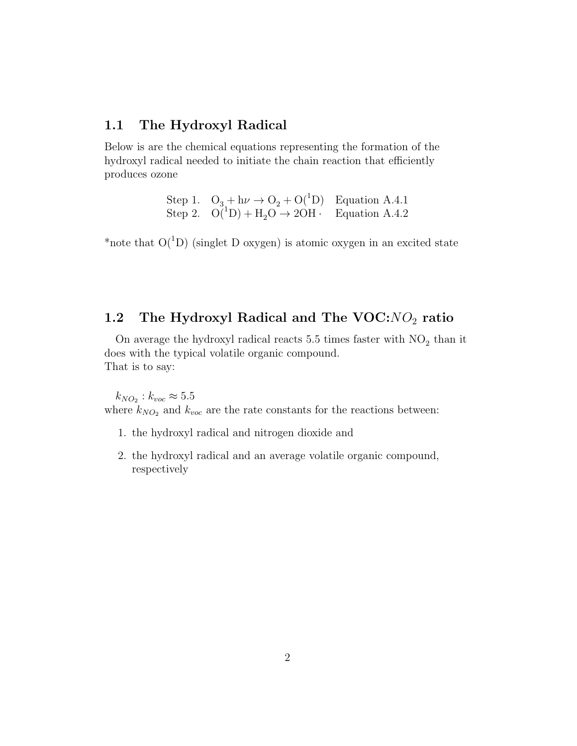#### 1.1 The Hydroxyl Radical

Below is are the chemical equations representing the formation of the hydroxyl radical needed to initiate the chain reaction that efficiently produces ozone

> Step 1.  $O_3 + h\nu \rightarrow O_2 + O(^1D)$  Equation A.4.1 Step 2.  $O(^{1}D) + H_2O \rightarrow 2OH$  · Equation A.4.2

\*note that  $O(^{1}D)$  (singlet D oxygen) is atomic oxygen in an excited state

# 1.2 The Hydroxyl Radical and The  $VOC:NO<sub>2</sub>$  ratio

On average the hydroxyl radical reacts 5.5 times faster with  $NO<sub>2</sub>$  than it does with the typical volatile organic compound. That is to say:

 $k_{NO_2}: k_{voc} \approx 5.5$ where  $k_{NO_2}$  and  $k_{voc}$  are the rate constants for the reactions between:

- 1. the hydroxyl radical and nitrogen dioxide and
- 2. the hydroxyl radical and an average volatile organic compound, respectively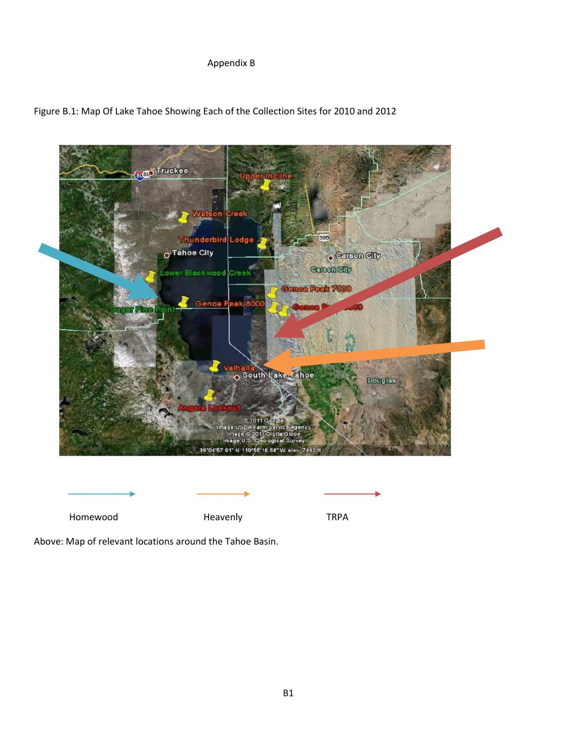## Appendix B





Homewood **Heavenly** Heavenly TRPA

Above: Map of relevant locations around the Tahoe Basin.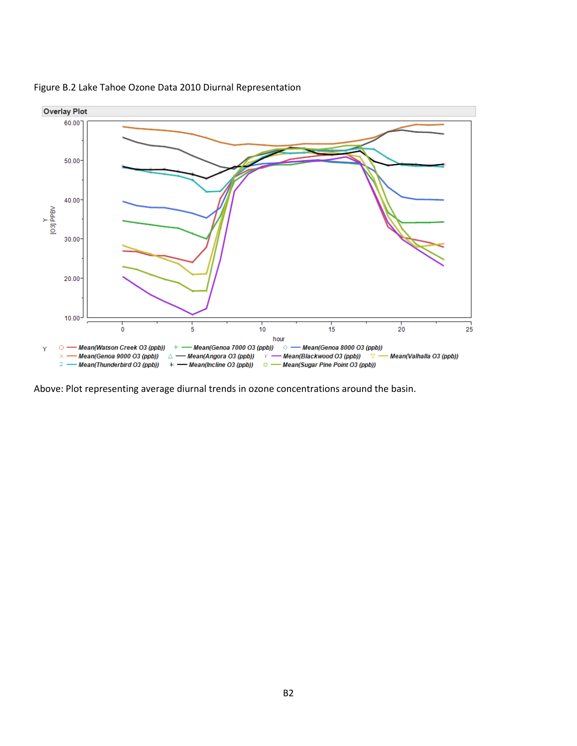

Figure B.2 Lake Tahoe Ozone Data 2010 Diurnal Representation

Above: Plot representing average diurnal trends in ozone concentrations around the basin.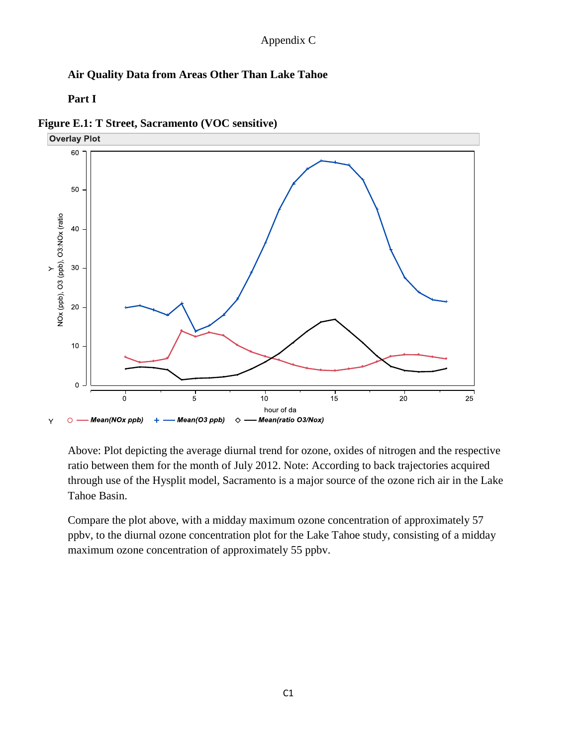## **Air Quality Data from Areas Other Than Lake Tahoe**

**Part I**

**Figure E.1: T Street, Sacramento (VOC sensitive)** 



Above: Plot depicting the average diurnal trend for ozone, oxides of nitrogen and the respective ratio between them for the month of July 2012. Note: According to back trajectories acquired through use of the Hysplit model, Sacramento is a major source of the ozone rich air in the Lake Tahoe Basin.

Compare the plot above, with a midday maximum ozone concentration of approximately 57 ppbv, to the diurnal ozone concentration plot for the Lake Tahoe study, consisting of a midday maximum ozone concentration of approximately 55 ppbv.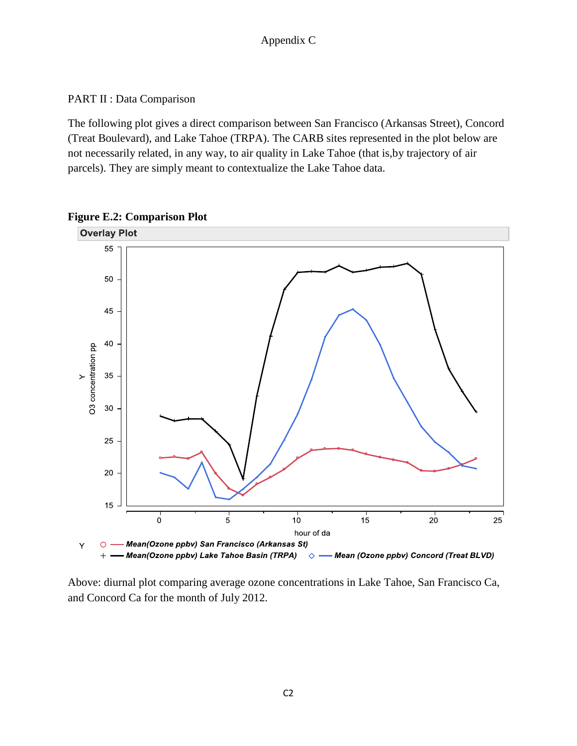PART II : Data Comparison

The following plot gives a direct comparison between San Francisco (Arkansas Street), Concord (Treat Boulevard), and Lake Tahoe (TRPA). The CARB sites represented in the plot below are not necessarily related, in any way, to air quality in Lake Tahoe (that is,by trajectory of air parcels). They are simply meant to contextualize the Lake Tahoe data.



**Figure E.2: Comparison Plot**

Above: diurnal plot comparing average ozone concentrations in Lake Tahoe, San Francisco Ca, and Concord Ca for the month of July 2012.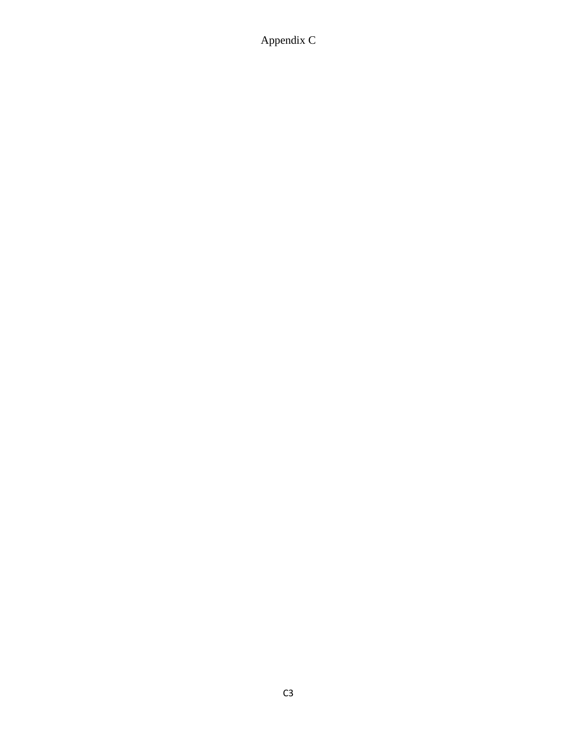Appendix C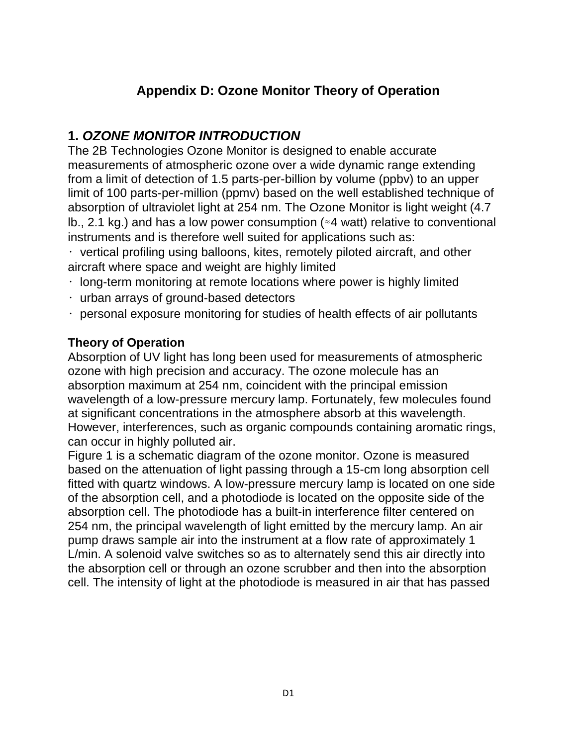# **Appendix D: Ozone Monitor Theory of Operation**

# **1.** *OZONE MONITOR INTRODUCTION*

The 2B Technologies Ozone Monitor is designed to enable accurate measurements of atmospheric ozone over a wide dynamic range extending from a limit of detection of 1.5 parts-per-billion by volume (ppbv) to an upper limit of 100 parts-per-million (ppmv) based on the well established technique of absorption of ultraviolet light at 254 nm. The Ozone Monitor is light weight (4.7 lb., 2.1 kg.) and has a low power consumption (≈4 watt) relative to conventional instruments and is therefore well suited for applications such as:

 $\cdot$  vertical profiling using balloons, kites, remotely piloted aircraft, and other aircraft where space and weight are highly limited

- $\cdot$  long-term monitoring at remote locations where power is highly limited
- urban arrays of ground-based detectors
- $\cdot$  personal exposure monitoring for studies of health effects of air pollutants

# **Theory of Operation**

Absorption of UV light has long been used for measurements of atmospheric ozone with high precision and accuracy. The ozone molecule has an absorption maximum at 254 nm, coincident with the principal emission wavelength of a low-pressure mercury lamp. Fortunately, few molecules found at significant concentrations in the atmosphere absorb at this wavelength. However, interferences, such as organic compounds containing aromatic rings, can occur in highly polluted air.

Figure 1 is a schematic diagram of the ozone monitor. Ozone is measured based on the attenuation of light passing through a 15-cm long absorption cell fitted with quartz windows. A low-pressure mercury lamp is located on one side of the absorption cell, and a photodiode is located on the opposite side of the absorption cell. The photodiode has a built-in interference filter centered on 254 nm, the principal wavelength of light emitted by the mercury lamp. An air pump draws sample air into the instrument at a flow rate of approximately 1 L/min. A solenoid valve switches so as to alternately send this air directly into the absorption cell or through an ozone scrubber and then into the absorption cell. The intensity of light at the photodiode is measured in air that has passed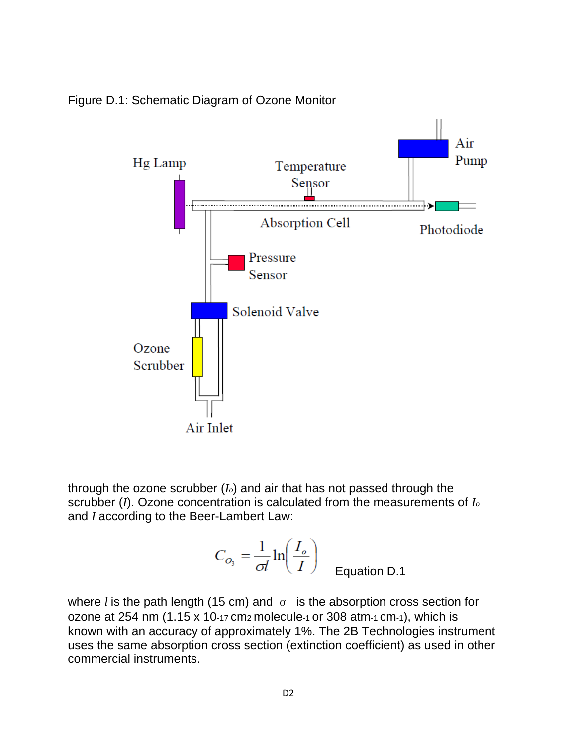



through the ozone scrubber (*Io*) and air that has not passed through the scrubber (*I*). Ozone concentration is calculated from the measurements of *I<sup>o</sup>* and *I* according to the Beer-Lambert Law:

$$
C_{O_3} = \frac{1}{\sigma l} \ln \left( \frac{I_o}{I} \right)
$$
 Equation D.1

where *l* is the path length (15 cm) and  $\sigma$  is the absorption cross section for ozone at 254 nm (1.15 x 10-17 cm2 molecule-1 or 308 atm-1 cm-1), which is known with an accuracy of approximately 1%. The 2B Technologies instrument uses the same absorption cross section (extinction coefficient) as used in other commercial instruments.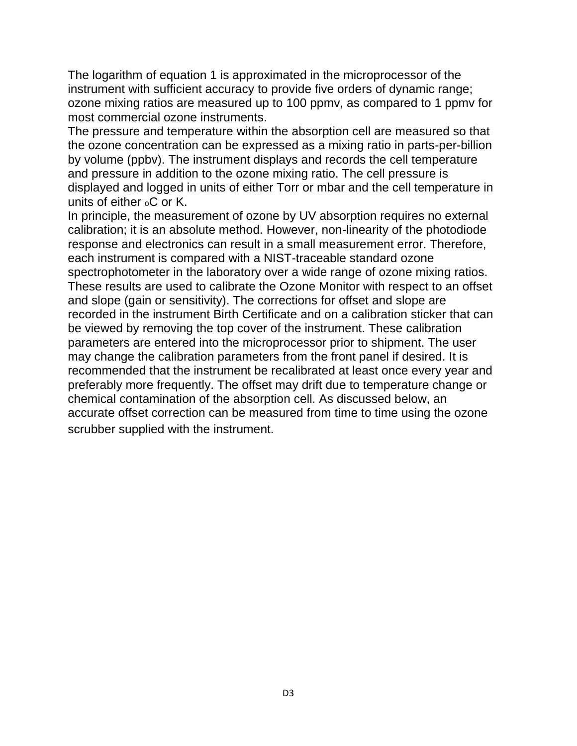The logarithm of equation 1 is approximated in the microprocessor of the instrument with sufficient accuracy to provide five orders of dynamic range; ozone mixing ratios are measured up to 100 ppmv, as compared to 1 ppmv for most commercial ozone instruments.

The pressure and temperature within the absorption cell are measured so that the ozone concentration can be expressed as a mixing ratio in parts-per-billion by volume (ppbv). The instrument displays and records the cell temperature and pressure in addition to the ozone mixing ratio. The cell pressure is displayed and logged in units of either Torr or mbar and the cell temperature in units of either oC or K.

In principle, the measurement of ozone by UV absorption requires no external calibration; it is an absolute method. However, non-linearity of the photodiode response and electronics can result in a small measurement error. Therefore, each instrument is compared with a NIST-traceable standard ozone spectrophotometer in the laboratory over a wide range of ozone mixing ratios. These results are used to calibrate the Ozone Monitor with respect to an offset and slope (gain or sensitivity). The corrections for offset and slope are recorded in the instrument Birth Certificate and on a calibration sticker that can be viewed by removing the top cover of the instrument. These calibration parameters are entered into the microprocessor prior to shipment. The user may change the calibration parameters from the front panel if desired. It is recommended that the instrument be recalibrated at least once every year and preferably more frequently. The offset may drift due to temperature change or chemical contamination of the absorption cell. As discussed below, an accurate offset correction can be measured from time to time using the ozone scrubber supplied with the instrument.